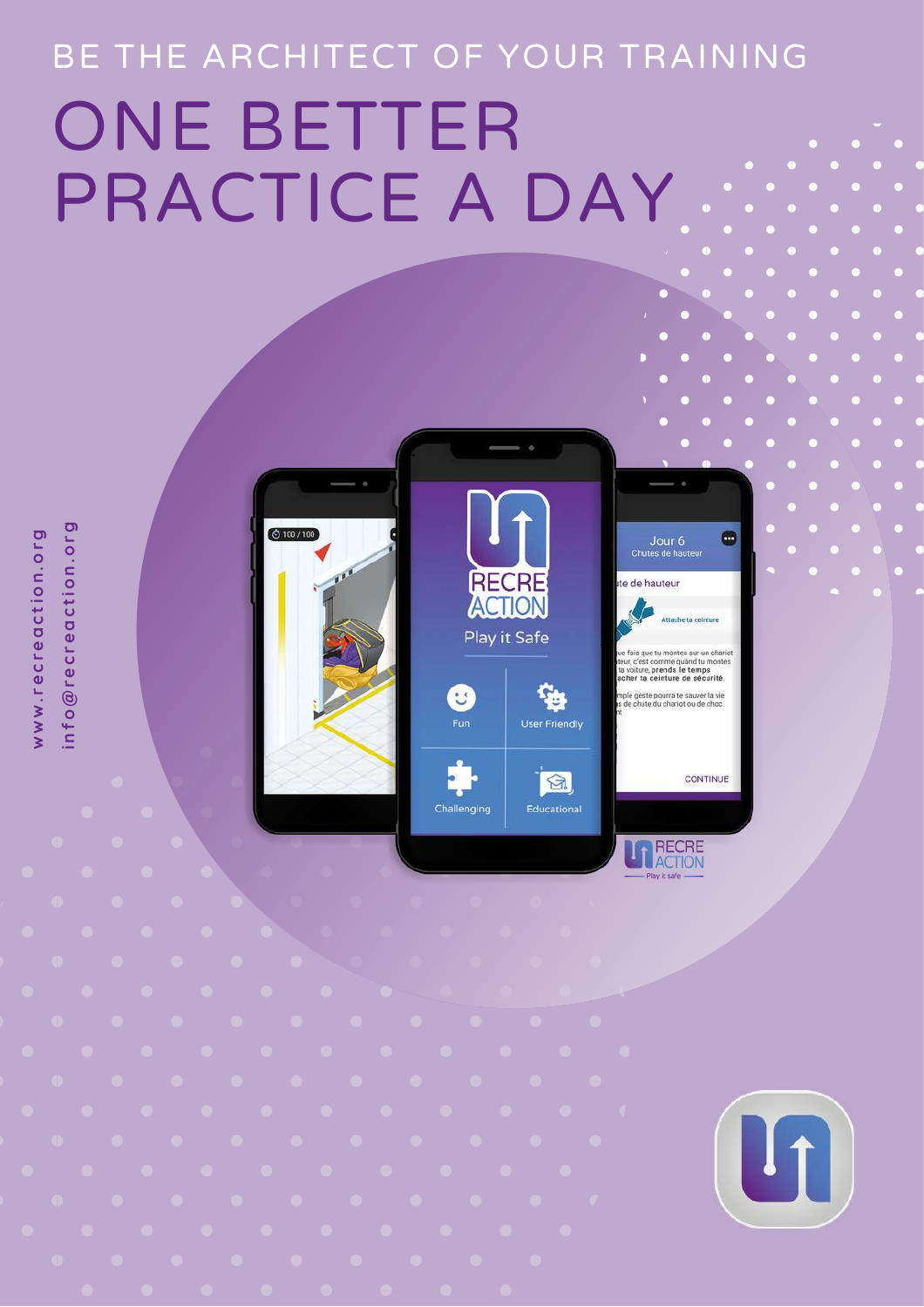# BE THE ARCHITECT OF YOUR TRAINING ONE BETTER PRACTICE A DAY







RECRE<br>ACTION

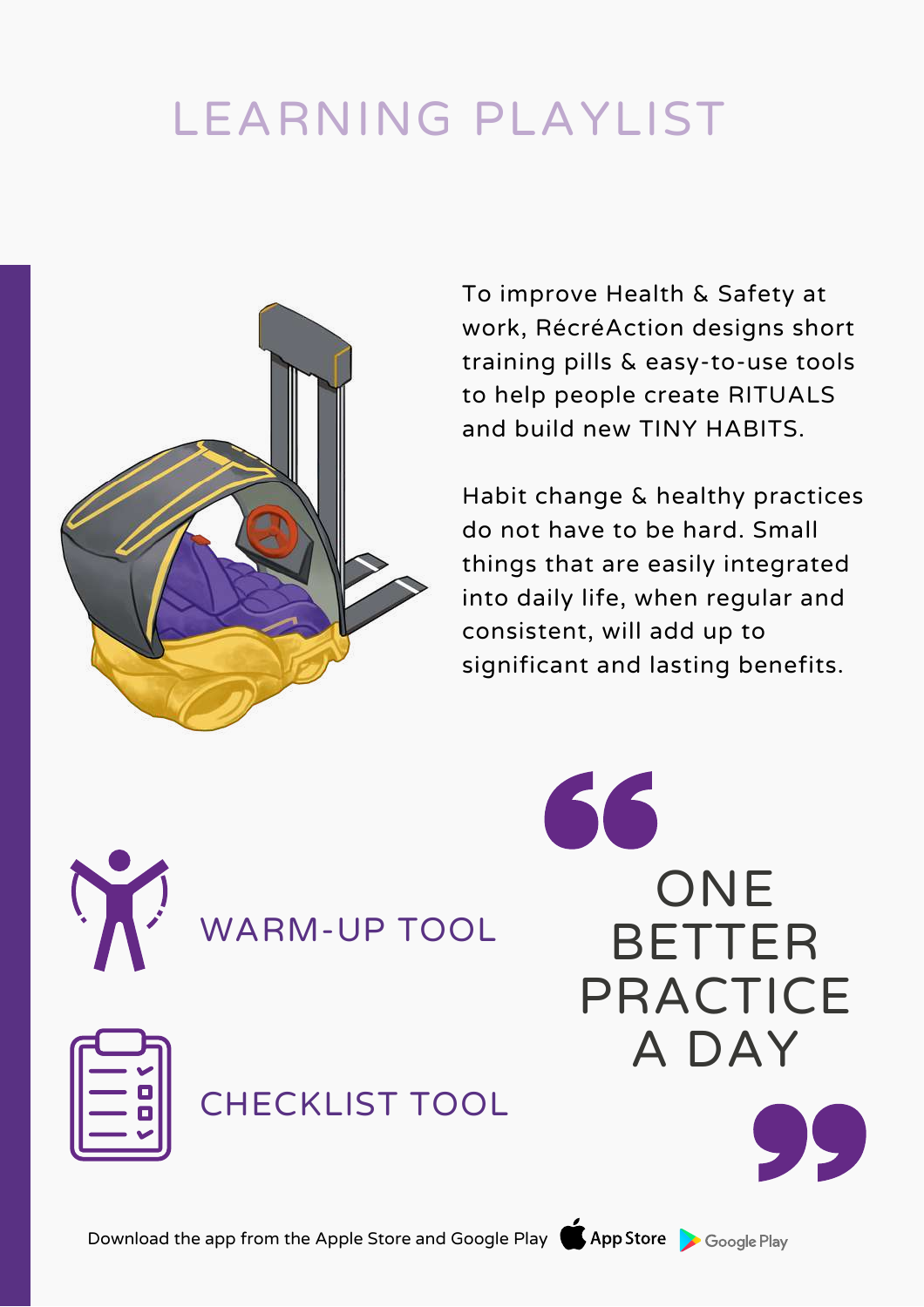# LEARNING PLAYLIST



To improve Health & Safety at work, RécréAction designs short training pills & easy-to-use tools to help people create RITUALS and build new TINY HABITS.

Habit change & healthy practices do not have to be hard. Small things that are easily integrated into daily life, when regular and consistent, will add up to significant and lasting benefits.



WARM-UP TOOL

CHECKLIST TOOL



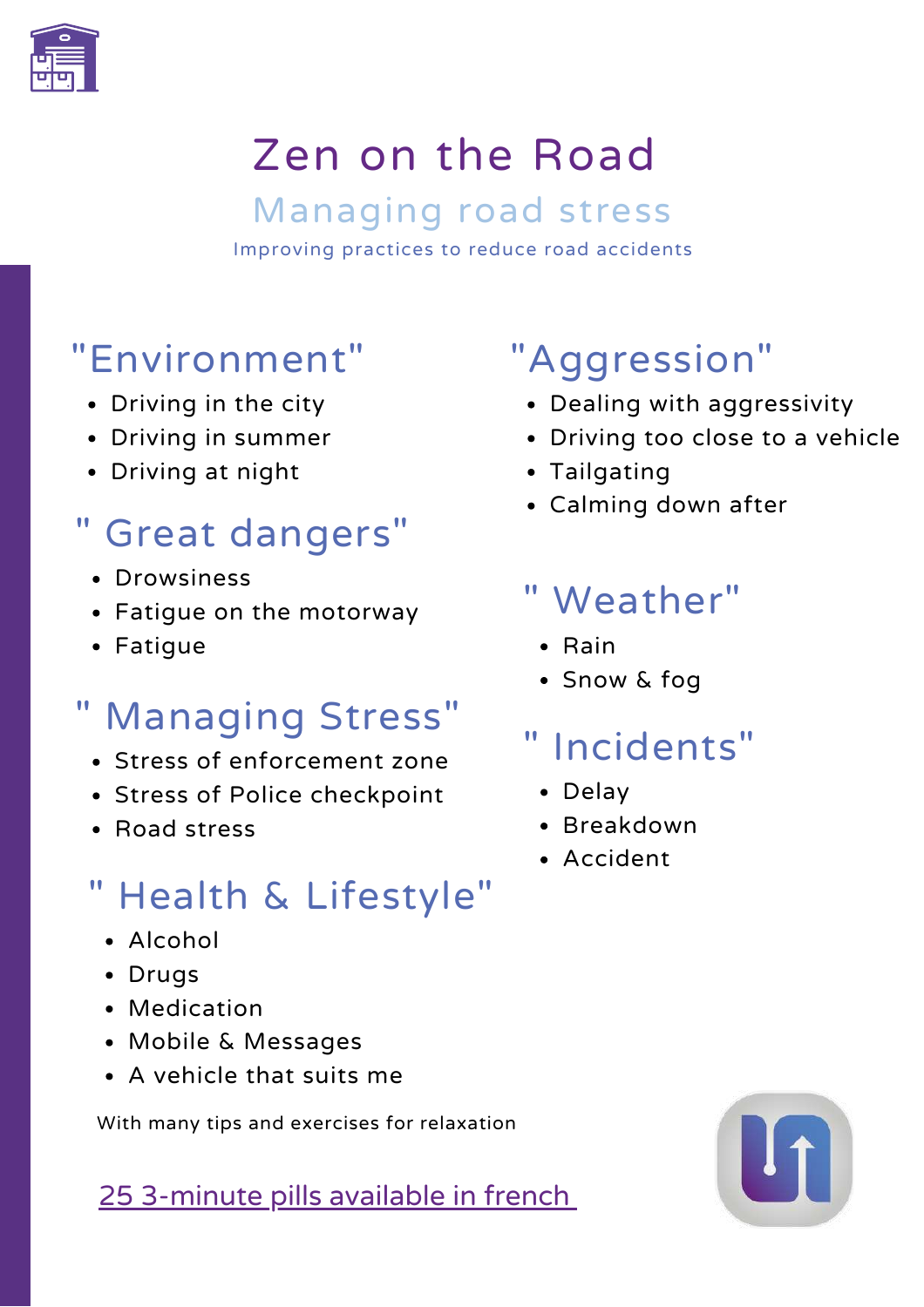

# Zen on the Road

Managing road stress Improving practices to reduce road accidents

# "Environment"

- Driving in the city
- Driving in summer
- Driving at night

# " Great dangers"

- Drowsiness
- Fatigue on the motorway
- Fatigue

# " Managing Stress"

- Stress of enforcement zone
- Stress of Police checkpoint
- Road stress

# " Health & Lifestyle"

- Alcohol
- Drugs
- Medication
- Mobile & Messages
- A vehicle that suits me

With many tips and exercises for relaxation

25 3-minute pills available in french

# "Aggression"

- Dealing with aggressivity
- Driving too close to a vehicle
- Tailgating
- Calming down after

### " Weather"

- Rain
- Snow & fog

# " Incidents"

- Delay
- Breakdown
- Accident

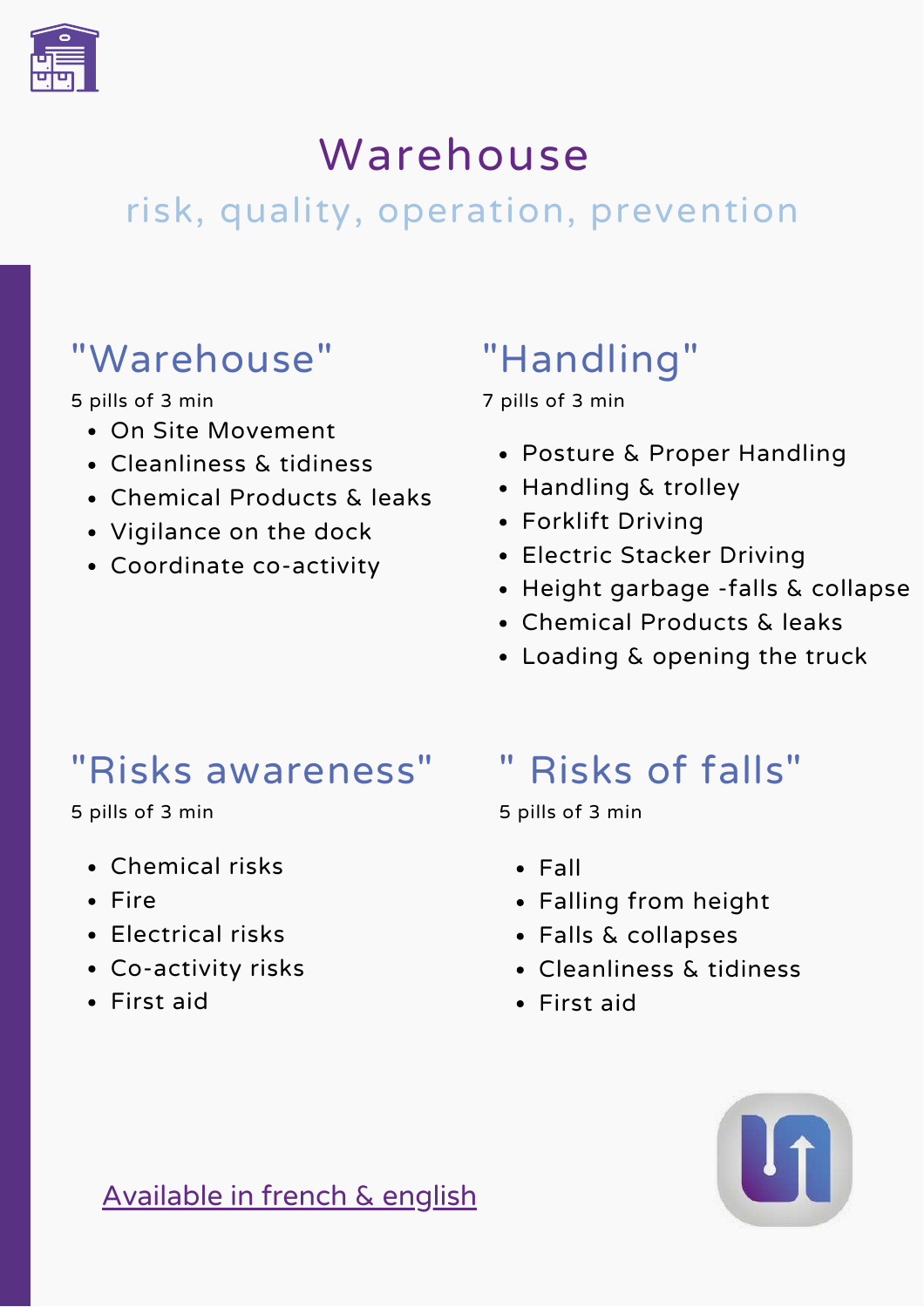

# Warehouse

# risk, quality, operation, prevention

### "Warehouse"

5 pills of 3 min

- On Site Movement
- Cleanliness & tidiness
- Chemical Products & leaks
- Vigilance on the dock
- Coordinate co-activity

# "Handling"

7 pills of 3 min

- Posture & Proper Handling
- Handling & trolley
- Forklift Driving
- Electric Stacker Driving
- Height garbage -falls & collapse
- Chemical Products & leaks
- Loading & opening the truck

#### "Risks awareness"

5 pills of 3 min

- Chemical risks
- Fire
- Electrical risks
- Co-activity risks
- First aid

# " Risks of falls"

5 pills of 3 min

- Fall
- Falling from height
- Falls & collapses
- Cleanliness & tidiness
- First aid



Available in french & english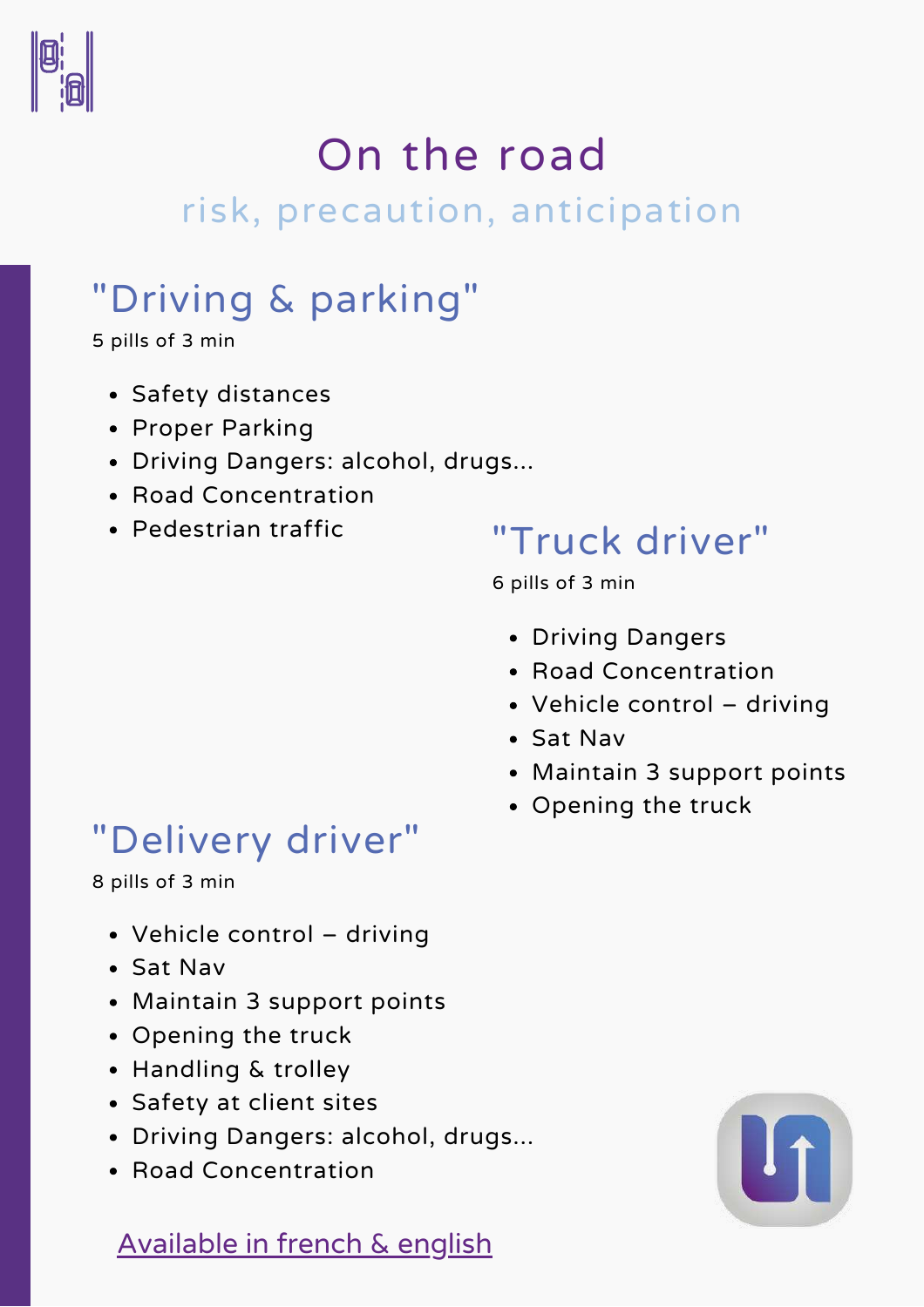

# On the road

### risk, precaution, anticipation

# "Driving & parking"

5 pills of 3 min

- Safety distances
- Proper Parking
- Driving Dangers: alcohol, drugs...
- Road Concentration
- Pedestrian traffic

#### "Truck driver"

6 pills of 3 min

- Driving Dangers
- Road Concentration
- Vehicle control driving
- Sat Nav
- Maintain 3 support points
- Opening the truck

### "Delivery driver"

8 pills of 3 min

- Vehicle control driving
- Sat Nav
- Maintain 3 support points
- Opening the truck
- Handling & trolley
- Safety at client sites
- Driving Dangers: alcohol, drugs...
- Road Concentration

#### Available in french & english

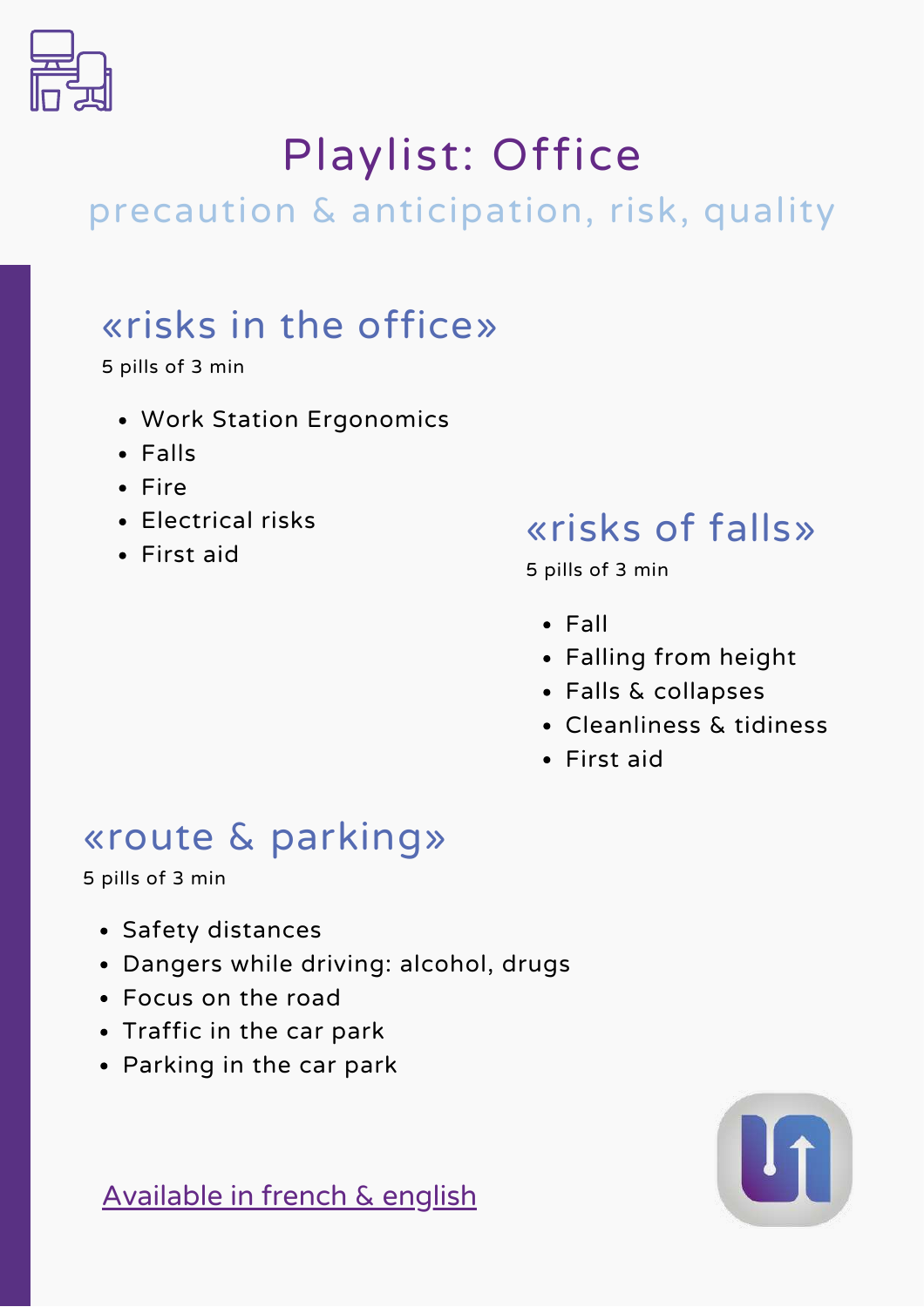

# Playlist: Office

# precaution & anticipation, risk, quality

# «risks in the office»

5 pills of 3 min

- Work Station Ergonomics
- Falls
- $•$  Fire
- Electrical risks
- First aid

#### «risks of falls»

5 pills of 3 min

- $\cdot$  Fall
- Falling from height
- Falls & collapses
- Cleanliness & tidiness
- First aid

#### «route & parking»

5 pills of 3 min

- Safety distances
- Dangers while driving: alcohol, drugs
- Focus on the road
- Traffic in the car park
- Parking in the car park



Available in french & english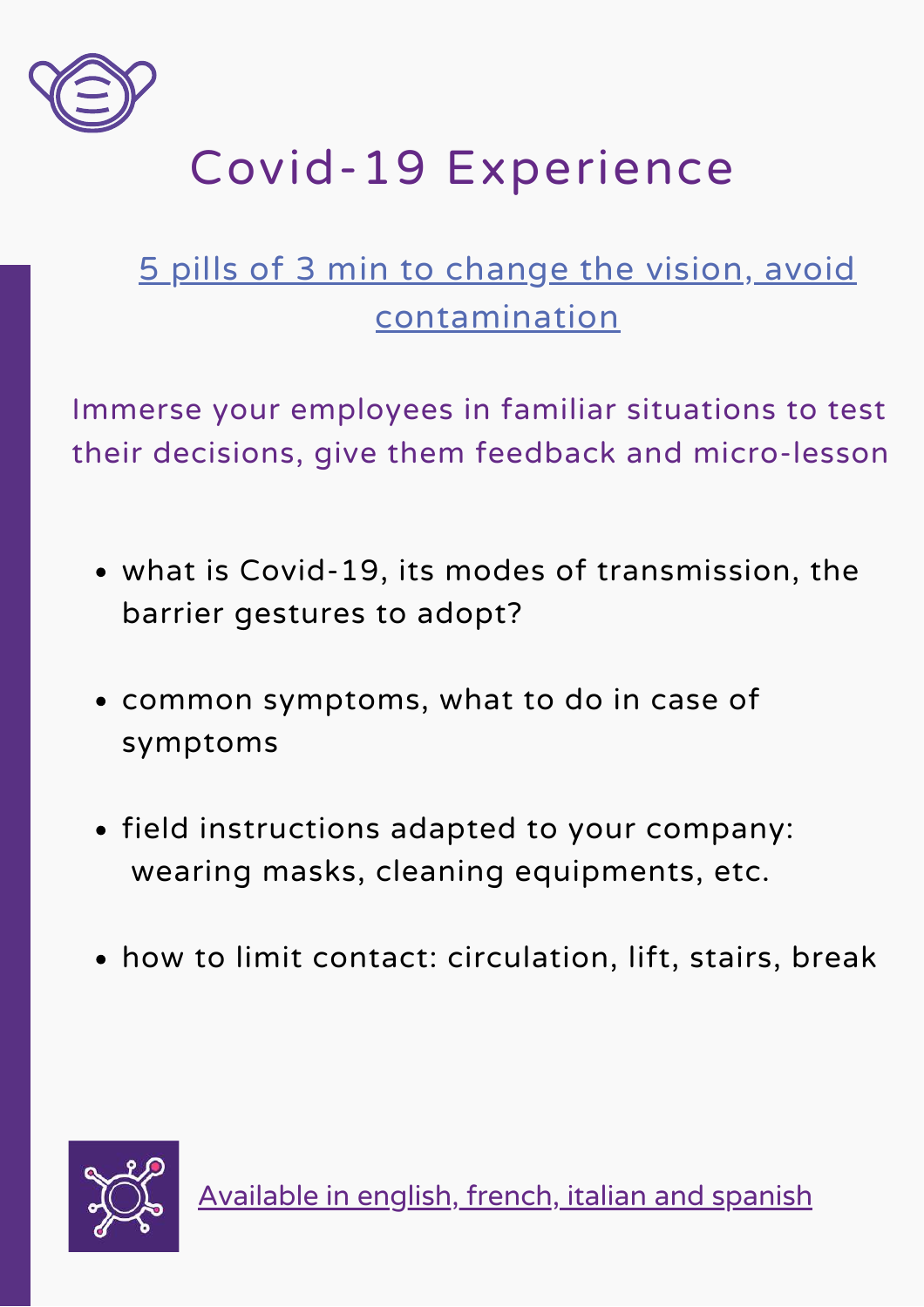

# Covid-19 Experience

### 5 pills of 3 min to change the vision, avoid contamination

Immerse your employees in familiar situations to test their decisions, give them feedback and micro-lesson

- what is Covid-19, its modes of transmission, the barrier gestures to adopt?
- common symptoms, what to do in case of symptoms
- field instructions adapted to your company: wearing masks, cleaning equipments, etc.
- how to limit contact: circulation, lift, stairs, break